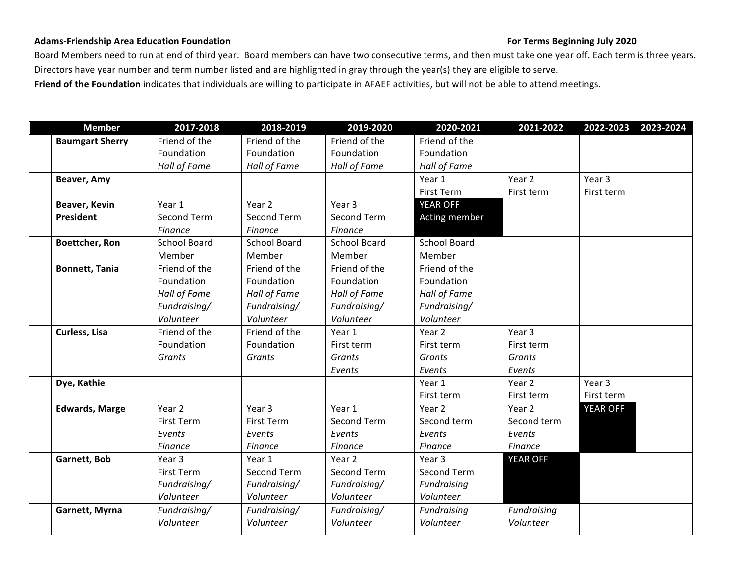#### Adams-Friendship Area Education Foundation **Figure 10 and 2020 For Terms Beginning July 2020**

Board Members need to run at end of third year. Board members can have two consecutive terms, and then must take one year off. Each term is three years. Directors have year number and term number listed and are highlighted in gray through the year(s) they are eligible to serve. Friend of the Foundation indicates that individuals are willing to participate in AFAEF activities, but will not be able to attend meetings.

| <b>Member</b>          | 2017-2018           | 2018-2019           | 2019-2020           | 2020-2021           | 2021-2022       | 2022-2023       | 2023-2024 |
|------------------------|---------------------|---------------------|---------------------|---------------------|-----------------|-----------------|-----------|
| <b>Baumgart Sherry</b> | Friend of the       | Friend of the       | Friend of the       | Friend of the       |                 |                 |           |
|                        | Foundation          | Foundation          | Foundation          | Foundation          |                 |                 |           |
|                        | Hall of Fame        | Hall of Fame        | Hall of Fame        | Hall of Fame        |                 |                 |           |
| Beaver, Amy            |                     |                     |                     | Year 1              | Year 2          | Year 3          |           |
|                        |                     |                     |                     | First Term          | First term      | First term      |           |
| Beaver, Kevin          | Year 1              | Year 2              | Year 3              | <b>YEAR OFF</b>     |                 |                 |           |
| <b>President</b>       | Second Term         | Second Term         | Second Term         | Acting member       |                 |                 |           |
|                        | Finance             | Finance             | Finance             |                     |                 |                 |           |
| Boettcher, Ron         | <b>School Board</b> | <b>School Board</b> | <b>School Board</b> | <b>School Board</b> |                 |                 |           |
|                        | Member              | Member              | Member              | Member              |                 |                 |           |
| <b>Bonnett, Tania</b>  | Friend of the       | Friend of the       | Friend of the       | Friend of the       |                 |                 |           |
|                        | Foundation          | Foundation          | Foundation          | Foundation          |                 |                 |           |
|                        | Hall of Fame        | Hall of Fame        | Hall of Fame        | Hall of Fame        |                 |                 |           |
|                        | Fundraising/        | Fundraising/        | Fundraising/        | Fundraising/        |                 |                 |           |
|                        | Volunteer           | Volunteer           | Volunteer           | Volunteer           |                 |                 |           |
| Curless, Lisa          | Friend of the       | Friend of the       | Year 1              | Year 2              | Year 3          |                 |           |
|                        | Foundation          | Foundation          | First term          | First term          | First term      |                 |           |
|                        | Grants              | Grants              | <b>Grants</b>       | Grants              | Grants          |                 |           |
|                        |                     |                     | Events              | Events              | Events          |                 |           |
| Dye, Kathie            |                     |                     |                     | Year 1              | Year 2          | Year 3          |           |
|                        |                     |                     |                     | First term          | First term      | First term      |           |
| <b>Edwards, Marge</b>  | Year 2              | Year 3              | Year 1              | Year 2              | Year 2          | <b>YEAR OFF</b> |           |
|                        | <b>First Term</b>   | <b>First Term</b>   | Second Term         | Second term         | Second term     |                 |           |
|                        | Events              | Events              | Events              | Events              | Events          |                 |           |
|                        | Finance             | Finance             | Finance             | Finance             | Finance         |                 |           |
| Garnett, Bob           | Year 3              | Year 1              | Year 2              | Year 3              | <b>YEAR OFF</b> |                 |           |
|                        | First Term          | Second Term         | Second Term         | Second Term         |                 |                 |           |
|                        | Fundraising/        | Fundraising/        | Fundraising/        | Fundraising         |                 |                 |           |
|                        | Volunteer           | Volunteer           | Volunteer           | Volunteer           |                 |                 |           |
| Garnett, Myrna         | Fundraising/        | Fundraising/        | Fundraising/        | Fundraising         | Fundraising     |                 |           |
|                        | Volunteer           | Volunteer           | Volunteer           | Volunteer           | Volunteer       |                 |           |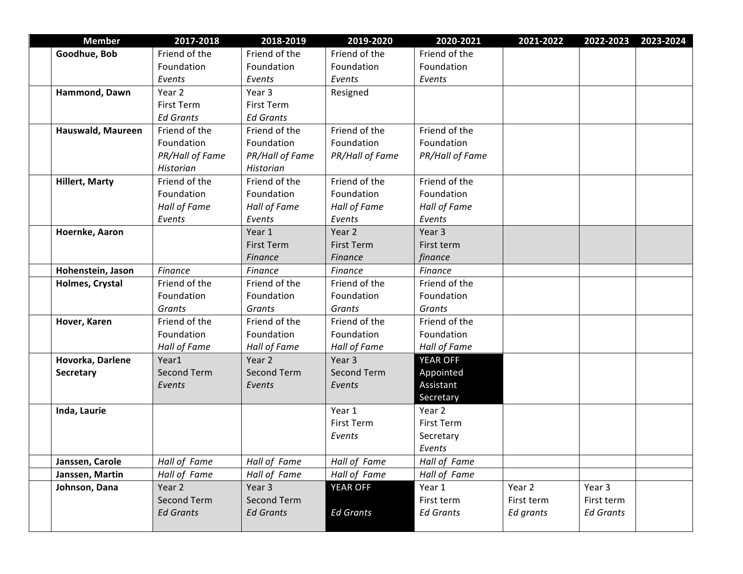| <b>Member</b>         | 2017-2018          | 2018-2019          | 2019-2020          | 2020-2021        | 2021-2022  | 2022-2023        | 2023-2024 |
|-----------------------|--------------------|--------------------|--------------------|------------------|------------|------------------|-----------|
| Goodhue, Bob          | Friend of the      | Friend of the      | Friend of the      | Friend of the    |            |                  |           |
|                       | Foundation         | Foundation         | Foundation         | Foundation       |            |                  |           |
|                       | Events             | Events             | Events             | Events           |            |                  |           |
| Hammond, Dawn         | Year 2             | Year 3             | Resigned           |                  |            |                  |           |
|                       | <b>First Term</b>  | <b>First Term</b>  |                    |                  |            |                  |           |
|                       | <b>Ed Grants</b>   | <b>Ed Grants</b>   |                    |                  |            |                  |           |
| Hauswald, Maureen     | Friend of the      | Friend of the      | Friend of the      | Friend of the    |            |                  |           |
|                       | Foundation         | Foundation         | Foundation         | Foundation       |            |                  |           |
|                       | PR/Hall of Fame    | PR/Hall of Fame    | PR/Hall of Fame    | PR/Hall of Fame  |            |                  |           |
|                       | Historian          | Historian          |                    |                  |            |                  |           |
| <b>Hillert, Marty</b> | Friend of the      | Friend of the      | Friend of the      | Friend of the    |            |                  |           |
|                       | Foundation         | Foundation         | Foundation         | Foundation       |            |                  |           |
|                       | Hall of Fame       | Hall of Fame       | Hall of Fame       | Hall of Fame     |            |                  |           |
|                       | Events             | Events             | Events             | Events           |            |                  |           |
| Hoernke, Aaron        |                    | Year 1             | Year 2             | Year 3           |            |                  |           |
|                       |                    | <b>First Term</b>  | <b>First Term</b>  | First term       |            |                  |           |
|                       |                    | Finance            | <b>Finance</b>     | finance          |            |                  |           |
| Hohenstein, Jason     | Finance            | Finance            | Finance            | Finance          |            |                  |           |
| Holmes, Crystal       | Friend of the      | Friend of the      | Friend of the      | Friend of the    |            |                  |           |
|                       | Foundation         | Foundation         | Foundation         | Foundation       |            |                  |           |
|                       | Grants             | Grants             | Grants             | Grants           |            |                  |           |
| Hover, Karen          | Friend of the      | Friend of the      | Friend of the      | Friend of the    |            |                  |           |
|                       | Foundation         | Foundation         | Foundation         | Foundation       |            |                  |           |
|                       | Hall of Fame       | Hall of Fame       | Hall of Fame       | Hall of Fame     |            |                  |           |
| Hovorka, Darlene      | Year1              | Year 2             | Year 3             | <b>YEAR OFF</b>  |            |                  |           |
| <b>Secretary</b>      | <b>Second Term</b> | <b>Second Term</b> | <b>Second Term</b> | Appointed        |            |                  |           |
|                       | Events             | Events             | Events             | Assistant        |            |                  |           |
|                       |                    |                    |                    | Secretary        |            |                  |           |
| Inda, Laurie          |                    |                    | Year 1             | Year 2           |            |                  |           |
|                       |                    |                    | First Term         | First Term       |            |                  |           |
|                       |                    |                    | Events             | Secretary        |            |                  |           |
|                       |                    |                    |                    | Events           |            |                  |           |
| Janssen, Carole       | Hall of Fame       | Hall of Fame       | Hall of Fame       | Hall of Fame     |            |                  |           |
| Janssen, Martin       | Hall of Fame       | Hall of Fame       | Hall of Fame       | Hall of Fame     |            |                  |           |
| Johnson, Dana         | Year 2             | Year 3             | YEAR OFF           | Year 1           | Year 2     | Year 3           |           |
|                       | Second Term        | Second Term        |                    | First term       | First term | First term       |           |
|                       | <b>Ed Grants</b>   | <b>Ed Grants</b>   | <b>Ed Grants</b>   | <b>Ed Grants</b> | Ed grants  | <b>Ed Grants</b> |           |
|                       |                    |                    |                    |                  |            |                  |           |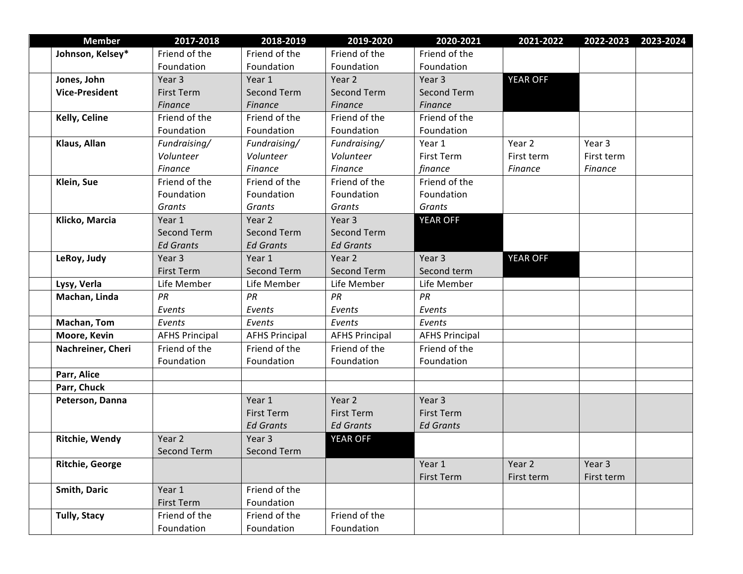| <b>Member</b>         | 2017-2018             | 2018-2019             | 2019-2020             | 2020-2021             | 2021-2022      | 2022-2023  | 2023-2024 |
|-----------------------|-----------------------|-----------------------|-----------------------|-----------------------|----------------|------------|-----------|
| Johnson, Kelsey*      | Friend of the         | Friend of the         | Friend of the         | Friend of the         |                |            |           |
|                       | Foundation            | Foundation            | Foundation            | Foundation            |                |            |           |
| Jones, John           | Year 3                | Year 1                | Year 2                | Year 3                | YEAR OFF       |            |           |
| <b>Vice-President</b> | <b>First Term</b>     | <b>Second Term</b>    | <b>Second Term</b>    | <b>Second Term</b>    |                |            |           |
|                       | <b>Finance</b>        | <b>Finance</b>        | Finance               | Finance               |                |            |           |
| Kelly, Celine         | Friend of the         | Friend of the         | Friend of the         | Friend of the         |                |            |           |
|                       | Foundation            | Foundation            | Foundation            | Foundation            |                |            |           |
| Klaus, Allan          | Fundraising/          | Fundraising/          | Fundraising/          | Year 1                | Year 2         | Year 3     |           |
|                       | Volunteer             | Volunteer             | Volunteer             | <b>First Term</b>     | First term     | First term |           |
|                       | Finance               | <b>Finance</b>        | Finance               | finance               | <b>Finance</b> | Finance    |           |
| Klein, Sue            | Friend of the         | Friend of the         | Friend of the         | Friend of the         |                |            |           |
|                       | Foundation            | Foundation            | Foundation            | Foundation            |                |            |           |
|                       | Grants                | Grants                | Grants                | Grants                |                |            |           |
| Klicko, Marcia        | Year 1                | Year 2                | Year 3                | <b>YEAR OFF</b>       |                |            |           |
|                       | <b>Second Term</b>    | <b>Second Term</b>    | <b>Second Term</b>    |                       |                |            |           |
|                       | <b>Ed Grants</b>      | <b>Ed Grants</b>      | <b>Ed Grants</b>      |                       |                |            |           |
| LeRoy, Judy           | Year 3                | Year 1                | Year 2                | Year 3                | YEAR OFF       |            |           |
|                       | <b>First Term</b>     | <b>Second Term</b>    | <b>Second Term</b>    | Second term           |                |            |           |
| Lysy, Verla           | Life Member           | Life Member           | Life Member           | Life Member           |                |            |           |
| Machan, Linda         | PR                    | PR                    | PR                    | PR                    |                |            |           |
|                       | Events                | Events                | Events                | Events                |                |            |           |
| Machan, Tom           | Events                | Events                | Events                | Events                |                |            |           |
| Moore, Kevin          | <b>AFHS Principal</b> | <b>AFHS Principal</b> | <b>AFHS Principal</b> | <b>AFHS Principal</b> |                |            |           |
| Nachreiner, Cheri     | Friend of the         | Friend of the         | Friend of the         | Friend of the         |                |            |           |
|                       | Foundation            | Foundation            | Foundation            | Foundation            |                |            |           |
| Parr, Alice           |                       |                       |                       |                       |                |            |           |
| Parr, Chuck           |                       |                       |                       |                       |                |            |           |
| Peterson, Danna       |                       | Year 1                | Year 2                | Year 3                |                |            |           |
|                       |                       | <b>First Term</b>     | First Term            | <b>First Term</b>     |                |            |           |
|                       |                       | <b>Ed Grants</b>      | <b>Ed Grants</b>      | <b>Ed Grants</b>      |                |            |           |
| Ritchie, Wendy        | Year 2                | Year 3                | <b>YEAR OFF</b>       |                       |                |            |           |
|                       | Second Term           | Second Term           |                       |                       |                |            |           |
| Ritchie, George       |                       |                       |                       | Year 1                | Year 2         | Year 3     |           |
|                       |                       |                       |                       | First Term            | First term     | First term |           |
| Smith, Daric          | Year 1                | Friend of the         |                       |                       |                |            |           |
|                       | First Term            | Foundation            |                       |                       |                |            |           |
| <b>Tully, Stacy</b>   | Friend of the         | Friend of the         | Friend of the         |                       |                |            |           |
|                       | Foundation            | Foundation            | Foundation            |                       |                |            |           |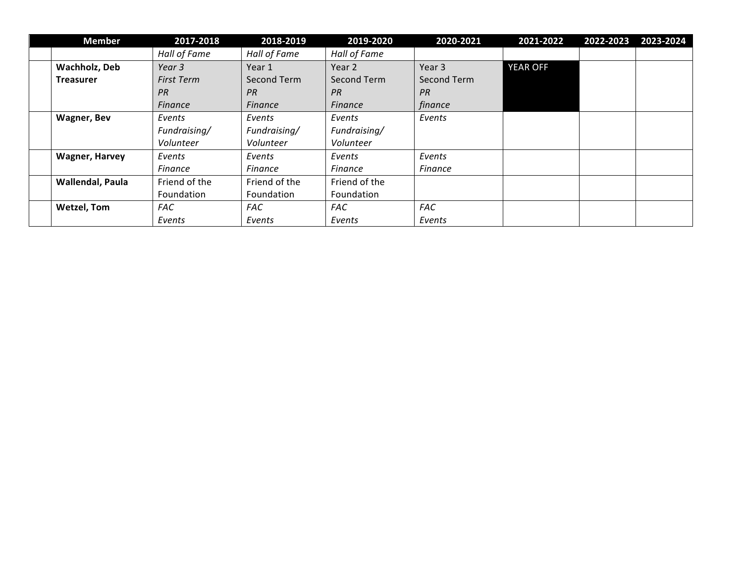| <b>Member</b>         | 2017-2018         | 2018-2019     | 2019-2020      | 2020-2021      | 2021-2022 | 2022-2023 | 2023-2024 |
|-----------------------|-------------------|---------------|----------------|----------------|-----------|-----------|-----------|
|                       | Hall of Fame      | Hall of Fame  | Hall of Fame   |                |           |           |           |
| Wachholz, Deb         | Year 3            | Year 1        | Year 2         | Year 3         | YEAR OFF  |           |           |
| <b>Treasurer</b>      | <b>First Term</b> | Second Term   | Second Term    | Second Term    |           |           |           |
|                       | PR                | PR            | PR             | PR             |           |           |           |
|                       | <b>Finance</b>    | Finance       | <b>Finance</b> | finance        |           |           |           |
| <b>Wagner, Bev</b>    | Events            | Events        | Events         | Events         |           |           |           |
|                       | Fundraising/      | Fundraising/  | Fundraising/   |                |           |           |           |
|                       | Volunteer         | Volunteer     | Volunteer      |                |           |           |           |
| <b>Wagner, Harvey</b> | Events            | Events        | Events         | Events         |           |           |           |
|                       | <b>Finance</b>    | Finance       | Finance        | <b>Finance</b> |           |           |           |
| Wallendal, Paula      | Friend of the     | Friend of the | Friend of the  |                |           |           |           |
|                       | Foundation        | Foundation    | Foundation     |                |           |           |           |
| <b>Wetzel, Tom</b>    | <b>FAC</b>        | <b>FAC</b>    | <b>FAC</b>     | <b>FAC</b>     |           |           |           |
|                       | Events            | Events        | Events         | Events         |           |           |           |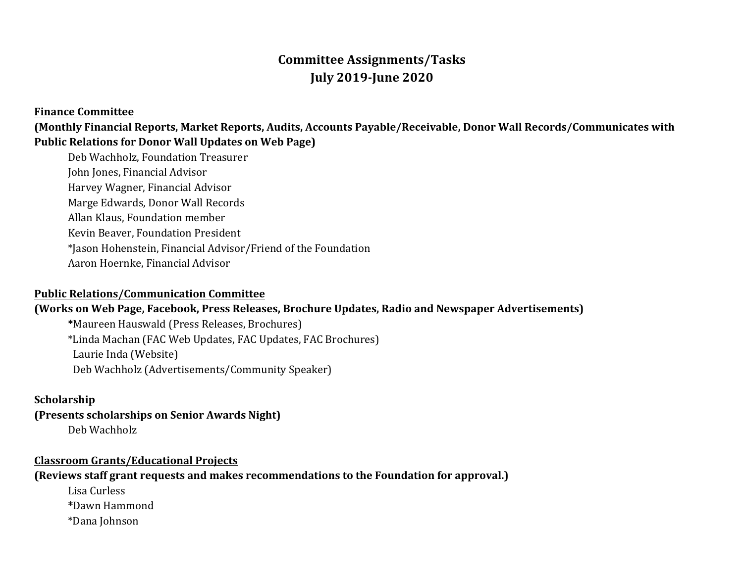# **Committee Assignments/Tasks July 2019-June 2020**

#### **Finance Committee**

(Monthly Financial Reports, Market Reports, Audits, Accounts Payable/Receivable, Donor Wall Records/Communicates with Public Relations for Donor Wall Updates on Web Page)

Deb Wachholz, Foundation Treasurer John Jones, Financial Advisor Harvey Wagner, Financial Advisor Marge Edwards, Donor Wall Records Allan Klaus, Foundation member Kevin Beaver, Foundation President \*Jason Hohenstein, Financial Advisor/Friend of the Foundation Aaron Hoernke, Financial Advisor

#### **Public Relations/Communication Committee**

#### **(Works on Web Page, Facebook, Press Releases, Brochure Updates, Radio and Newspaper Advertisements)**

**\***Maureen Hauswald (Press Releases, Brochures) \*Linda Machan (FAC Web Updates, FAC Updates, FAC Brochures) Laurie Inda (Website) Deb Wachholz (Advertisements/Community Speaker)

#### **Scholarship**

**(Presents scholarships on Senior Awards Night)** Deb Wachholz

**Classroom Grants/Educational Projects**

**(Reviews staff grant requests and makes recommendations to the Foundation for approval.)** 

Lisa Curless **\***Dawn Hammond \*Dana Johnson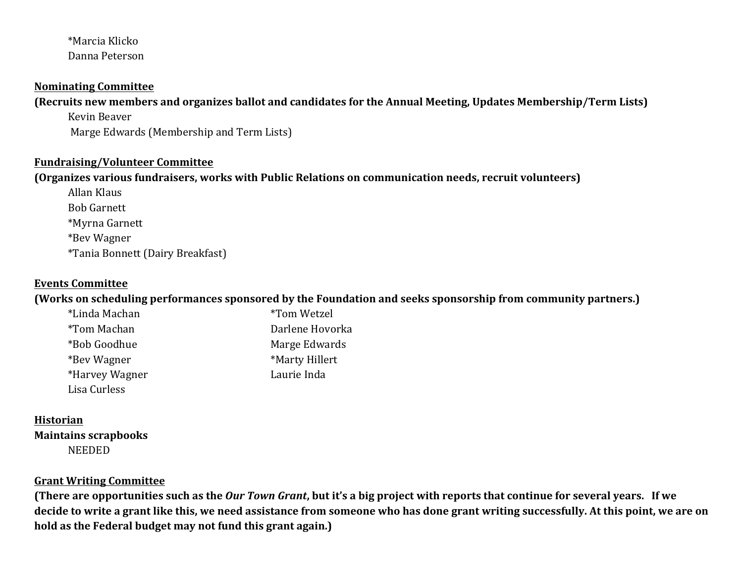## \*Marcia Klicko Danna Peterson

#### **Nominating Committee**

**(Recruits new members and organizes ballot and candidates for the Annual Meeting, Updates Membership/Term Lists)** 

Kevin Beaver Marge Edwards (Membership and Term Lists)

#### **Fundraising/Volunteer Committee**

### **(Organizes various fundraisers, works with Public Relations on communication needs, recruit volunteers)**

Allan Klaus Bob Garnett \*Myrna Garnett \*Bev Wagner \*Tania Bonnett (Dairy Breakfast)

## **Events Committee**

(Works on scheduling performances sponsored by the Foundation and seeks sponsorship from community partners.)

| *Linda Machan       | <i>*Tom Wetzel</i> |
|---------------------|--------------------|
| <i>*</i> Tom Machan | Darlene Hovorka    |
| *Bob Goodhue        | Marge Edwards      |
| *Bey Wagner         | *Marty Hillert     |
| *Harvey Wagner      | Laurie Inda        |
| Lisa Curless        |                    |

#### **Historian**

**Maintains scrapbooks** NEEDED

## **Grant Writing Committee**

**(There are opportunities such as the Our Town Grant, but it's a big project with reports that continue for several years. If we** decide to write a grant like this, we need assistance from someone who has done grant writing successfully. At this point, we are on hold as the Federal budget may not fund this grant again.)